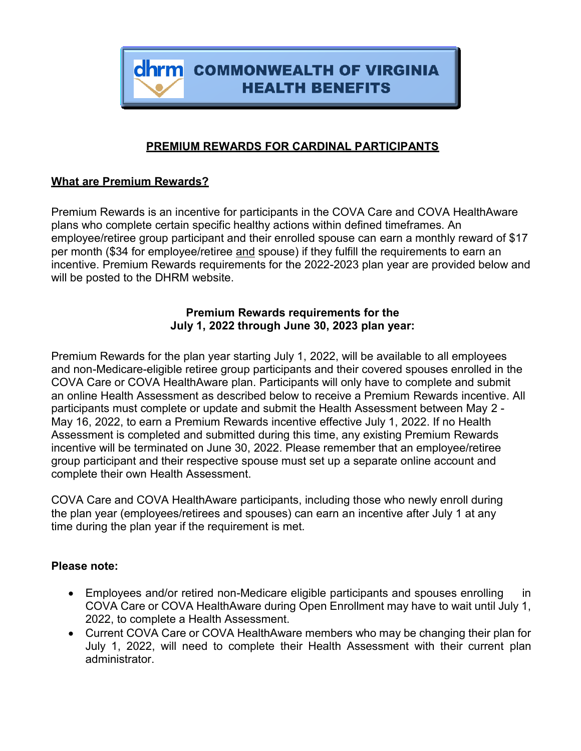

# **PREMIUM REWARDS FOR CARDINAL PARTICIPANTS**

### **What are Premium Rewards?**

Premium Rewards is an incentive for participants in the COVA Care and COVA HealthAware plans who complete certain specific healthy actions within defined timeframes. An employee/retiree group participant and their enrolled spouse can earn a monthly reward of \$17 per month (\$34 for employee/retiree and spouse) if they fulfill the requirements to earn an incentive. Premium Rewards requirements for the 2022-2023 plan year are provided below and will be posted to the DHRM website.

## **Premium Rewards requirements for the July 1, 2022 through June 30, 2023 plan year:**

Premium Rewards for the plan year starting July 1, 2022, will be available to all employees and non-Medicare-eligible retiree group participants and their covered spouses enrolled in the COVA Care or COVA HealthAware plan. Participants will only have to complete and submit an online Health Assessment as described below to receive a Premium Rewards incentive. All participants must complete or update and submit the Health Assessment between May 2 - May 16, 2022, to earn a Premium Rewards incentive effective July 1, 2022. If no Health Assessment is completed and submitted during this time, any existing Premium Rewards incentive will be terminated on June 30, 2022. Please remember that an employee/retiree group participant and their respective spouse must set up a separate online account and complete their own Health Assessment.

COVA Care and COVA HealthAware participants, including those who newly enroll during the plan year (employees/retirees and spouses) can earn an incentive after July 1 at any time during the plan year if the requirement is met.

### **Please note:**

- Employees and/or retired non-Medicare eligible participants and spouses enrolling in COVA Care or COVA HealthAware during Open Enrollment may have to wait until July 1, 2022, to complete a Health Assessment.
- Current COVA Care or COVA HealthAware members who may be changing their plan for July 1, 2022, will need to complete their Health Assessment with their current plan administrator.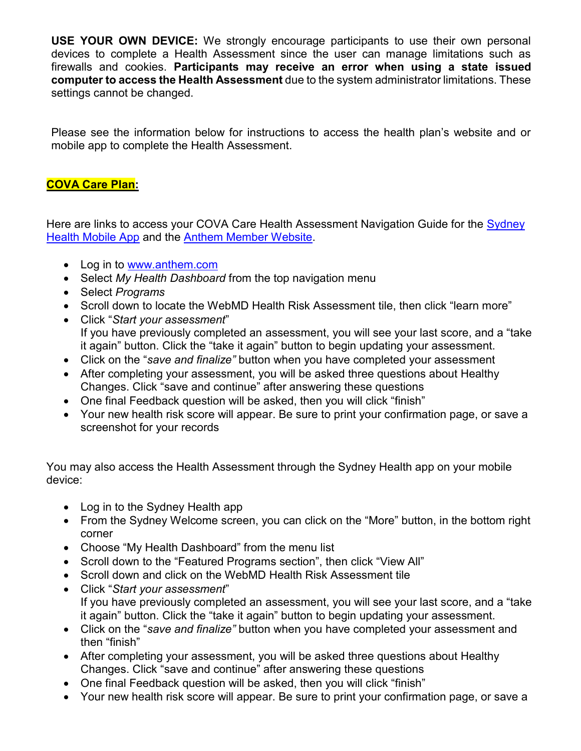**USE YOUR OWN DEVICE:** We strongly encourage participants to use their own personal devices to complete a Health Assessment since the user can manage limitations such as firewalls and cookies. **Participants may receive an error when using a state issued computer to access the Health Assessment** due to the system administrator limitations. These settings cannot be changed.

Please see the information below for instructions to access the health plan's website and or mobile app to complete the Health Assessment.

## **COVA Care Plan:**

Here are links to access your COVA Care Health Assessment Navigation Guide for the Sydney [Health Mobile App](https://www.dhrm.virginia.gov/docs/default-source/benefitsdocuments/ohb/accessing-your-cova-care-health-assessment-guide-2022_sydney-health.pdf?Status=Temp&sfvrsn=374ff085_2) and the [Anthem Member Website.](https://www.dhrm.virginia.gov/docs/default-source/benefitsdocuments/ohb/accessing-your-cova-care-health-assessment-guide-2022_anthem.pdf?Status=Temp&sfvrsn=5a731cfc_2)

- Log in to [www.anthem.com](http://www.anthem.com/)
- Select *My Health Dashboard* from the top navigation menu
- Select *Programs*
- Scroll down to locate the WebMD Health Risk Assessment tile, then click "learn more"
- Click "*Start your assessment*" If you have previously completed an assessment, you will see your last score, and a "take it again" button. Click the "take it again" button to begin updating your assessment.
- Click on the "*save and finalize"* button when you have completed your assessment
- After completing your assessment, you will be asked three questions about Healthy Changes. Click "save and continue" after answering these questions
- One final Feedback question will be asked, then you will click "finish"
- Your new health risk score will appear. Be sure to print your confirmation page, or save a screenshot for your records

You may also access the Health Assessment through the Sydney Health app on your mobile device:

- Log in to the Sydney Health app
- From the Sydney Welcome screen, you can click on the "More" button, in the bottom right corner
- Choose "My Health Dashboard" from the menu list
- Scroll down to the "Featured Programs section", then click "View All"
- Scroll down and click on the WebMD Health Risk Assessment tile
- Click "*Start your assessment*" If you have previously completed an assessment, you will see your last score, and a "take it again" button. Click the "take it again" button to begin updating your assessment.
- Click on the "*save and finalize"* button when you have completed your assessment and then "finish"
- After completing your assessment, you will be asked three questions about Healthy Changes. Click "save and continue" after answering these questions
- One final Feedback question will be asked, then you will click "finish"
- Your new health risk score will appear. Be sure to print your confirmation page, or save a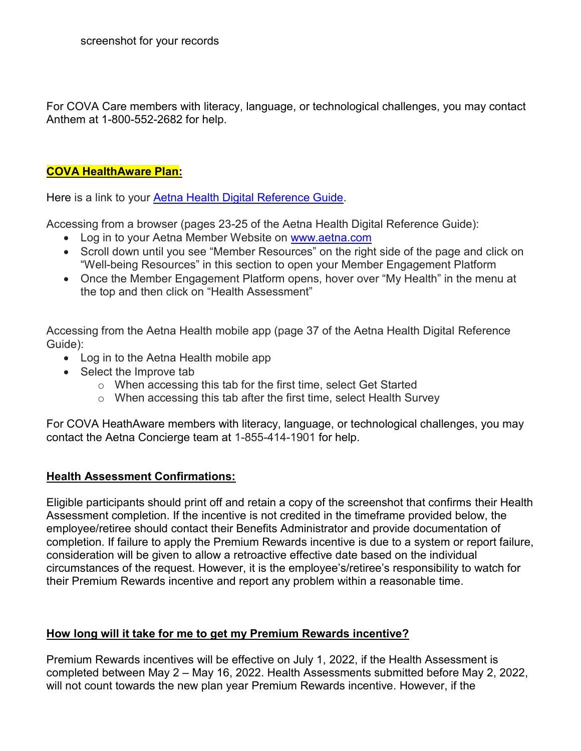For COVA Care members with literacy, language, or technological challenges, you may contact Anthem at 1-800-552-2682 for help.

### **COVA HealthAware Plan:**

Here is a link to your [Aetna Health Digital Reference Guide.](https://covahealthaware.com/assets/pdfs/Aetna%20Health%20digital%20reference%20guide%2002112021.pdf)

Accessing from a browser (pages 23-25 of the Aetna Health Digital Reference Guide):

- Log in to your Aetna Member Website on [www.aetna.com](http://www.aetna.com/)
- Scroll down until you see "Member Resources" on the right side of the page and click on "Well-being Resources" in this section to open your Member Engagement Platform
- Once the Member Engagement Platform opens, hover over "My Health" in the menu at the top and then click on "Health Assessment"

Accessing from the Aetna Health mobile app (page 37 of the Aetna Health Digital Reference Guide):

- Log in to the Aetna Health mobile app
- Select the Improve tab
	- o When accessing this tab for the first time, select Get Started
	- o When accessing this tab after the first time, select Health Survey

For COVA HeathAware members with literacy, language, or technological challenges, you may contact the Aetna Concierge team at 1-855-414-1901 for help.

### **Health Assessment Confirmations:**

Eligible participants should print off and retain a copy of the screenshot that confirms their Health Assessment completion. If the incentive is not credited in the timeframe provided below, the employee/retiree should contact their Benefits Administrator and provide documentation of completion. If failure to apply the Premium Rewards incentive is due to a system or report failure, consideration will be given to allow a retroactive effective date based on the individual circumstances of the request. However, it is the employee's/retiree's responsibility to watch for their Premium Rewards incentive and report any problem within a reasonable time.

### **How long will it take for me to get my Premium Rewards incentive?**

Premium Rewards incentives will be effective on July 1, 2022, if the Health Assessment is completed between May 2 – May 16, 2022. Health Assessments submitted before May 2, 2022, will not count towards the new plan year Premium Rewards incentive. However, if the